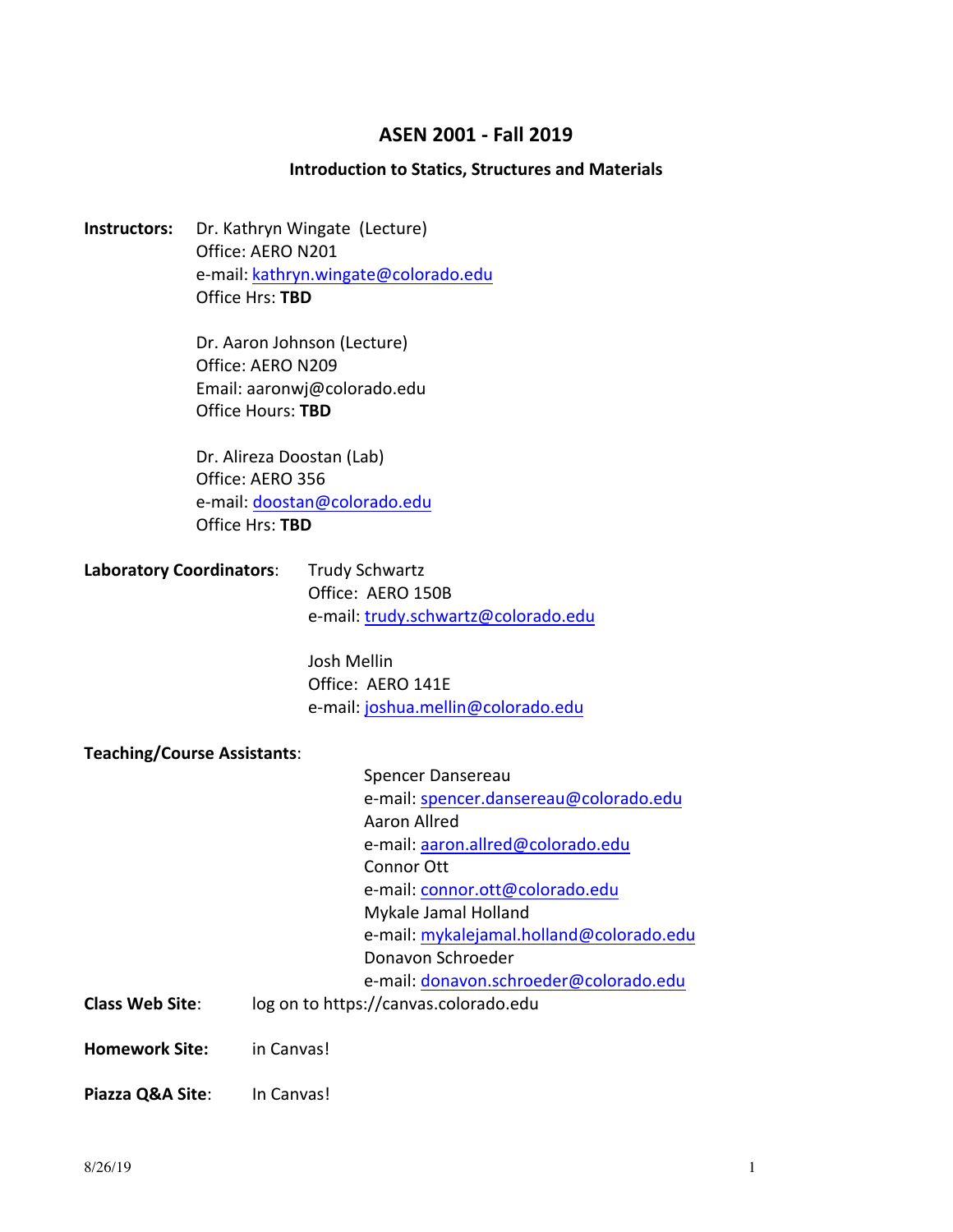# **ASEN 2001 - Fall 2019**

#### **Introduction to Statics, Structures and Materials**

**Instructors:** Dr. Kathryn Wingate (Lecture) Office: AERO N201 e-mail: kathryn.wingate@colorado.edu Office Hrs: **TBD**

> Dr. Aaron Johnson (Lecture) Office: AERO N209 Email: aaronwj@colorado.edu Office Hours: **TBD**

Dr. Alireza Doostan (Lab) Office: AERO 356 e-mail: doostan@colorado.edu Office Hrs: **TBD**

| <b>Laboratory Coordinators:</b> | <b>Trudy Schwartz</b>               |
|---------------------------------|-------------------------------------|
|                                 | Office: AERO 150B                   |
|                                 | e-mail: trudy.schwartz@colorado.edu |

Josh Mellin Office: AERO 141E e-mail: joshua.mellin@colorado.edu

**Teaching/Course Assistants**:

|                        | Spencer Dansereau                        |  |
|------------------------|------------------------------------------|--|
|                        | e-mail: spencer.dansereau@colorado.edu   |  |
|                        | Aaron Allred                             |  |
|                        | e-mail: aaron.allred@colorado.edu        |  |
|                        | Connor Ott                               |  |
|                        | e-mail: connor.ott@colorado.edu          |  |
|                        | Mykale Jamal Holland                     |  |
|                        | e-mail: mykalejamal.holland@colorado.edu |  |
|                        | Donavon Schroeder                        |  |
|                        | e-mail: donavon.schroeder@colorado.edu   |  |
| <b>Class Web Site:</b> | log on to https://canvas.colorado.edu    |  |
|                        |                                          |  |
| Homework Site:         | in Canvas!                               |  |
|                        |                                          |  |

**Piazza Q&A Site:** In Canvas!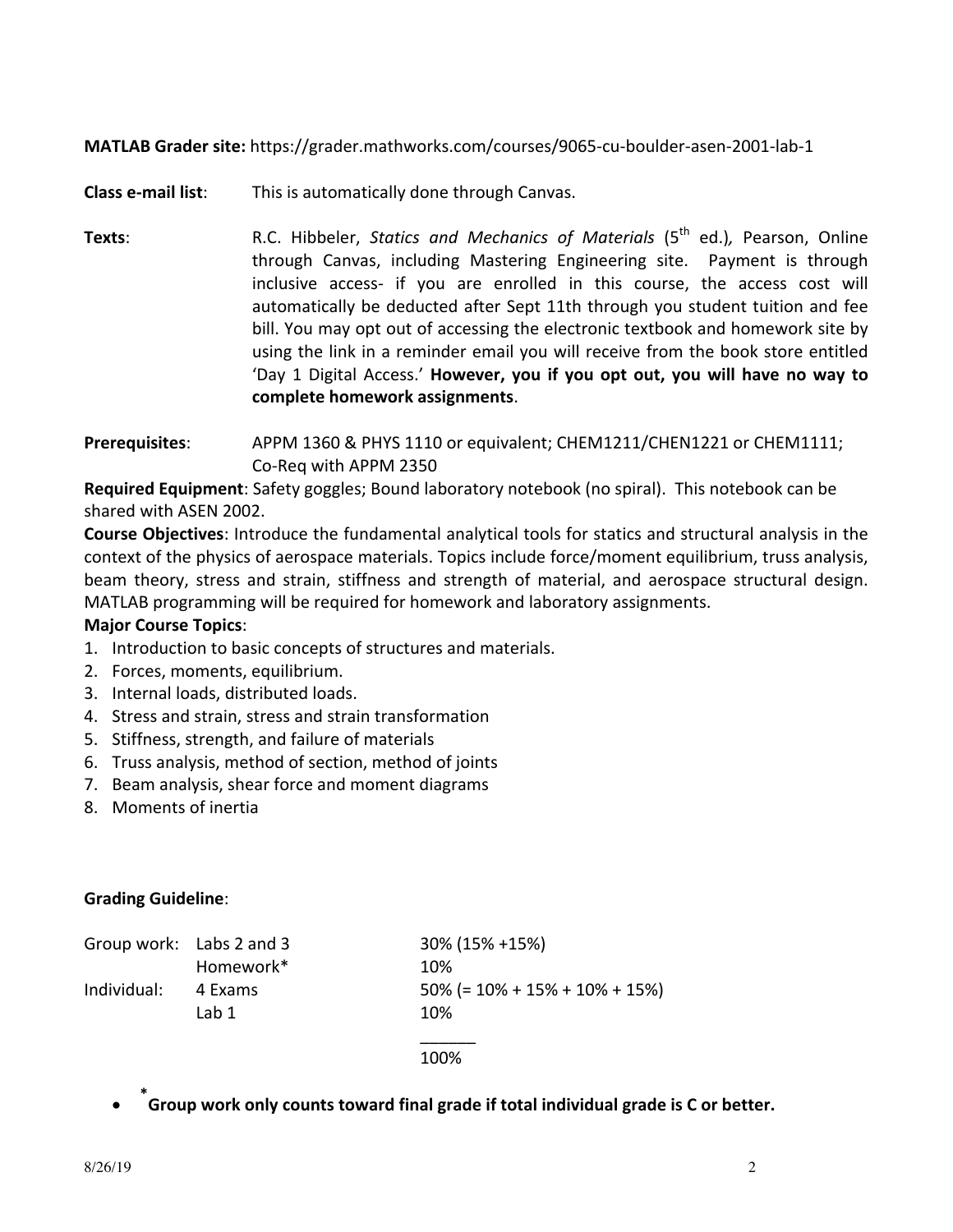**MATLAB Grader site:** https://grader.mathworks.com/courses/9065-cu-boulder-asen-2001-lab-1

**Class e-mail list:** This is automatically done through Canvas.

- **Texts**: R.C. Hibbeler, *Statics and Mechanics of Materials* (5<sup>th</sup> ed.), Pearson, Online through Canvas, including Mastering Engineering site. Payment is through inclusive access- if you are enrolled in this course, the access cost will automatically be deducted after Sept 11th through you student tuition and fee bill. You may opt out of accessing the electronic textbook and homework site by using the link in a reminder email you will receive from the book store entitled 'Day 1 Digital Access.' **However, you if you opt out, you will have no way to complete homework assignments**.
- **Prerequisites:** APPM 1360 & PHYS 1110 or equivalent; CHEM1211/CHEN1221 or CHEM1111; Co-Req with APPM 2350

**Required Equipment**: Safety goggles; Bound laboratory notebook (no spiral). This notebook can be shared with ASEN 2002.

**Course Objectives:** Introduce the fundamental analytical tools for statics and structural analysis in the context of the physics of aerospace materials. Topics include force/moment equilibrium, truss analysis, beam theory, stress and strain, stiffness and strength of material, and aerospace structural design. MATLAB programming will be required for homework and laboratory assignments.

### **Major Course Topics:**

- 1. Introduction to basic concepts of structures and materials.
- 2. Forces, moments, equilibrium.
- 3. Internal loads, distributed loads.
- 4. Stress and strain, stress and strain transformation
- 5. Stiffness, strength, and failure of materials
- 6. Truss analysis, method of section, method of joints
- 7. Beam analysis, shear force and moment diagrams
- 8. Moments of inertia

### **Grading Guideline**:

|             | Group work: Labs 2 and 3 | 30% (15% +15%)                                |
|-------------|--------------------------|-----------------------------------------------|
|             | Homework*                | 10%                                           |
| Individual: | 4 Exams                  | $50\%$ (= $10\%$ + $15\%$ + $10\%$ + $15\%$ ) |
|             | Lab 1                    | 10%                                           |
|             |                          |                                               |

#### 100%

**•**  $\phi$   $\phi$  for and **folurat format inaligrade** if total individual grade is C or better.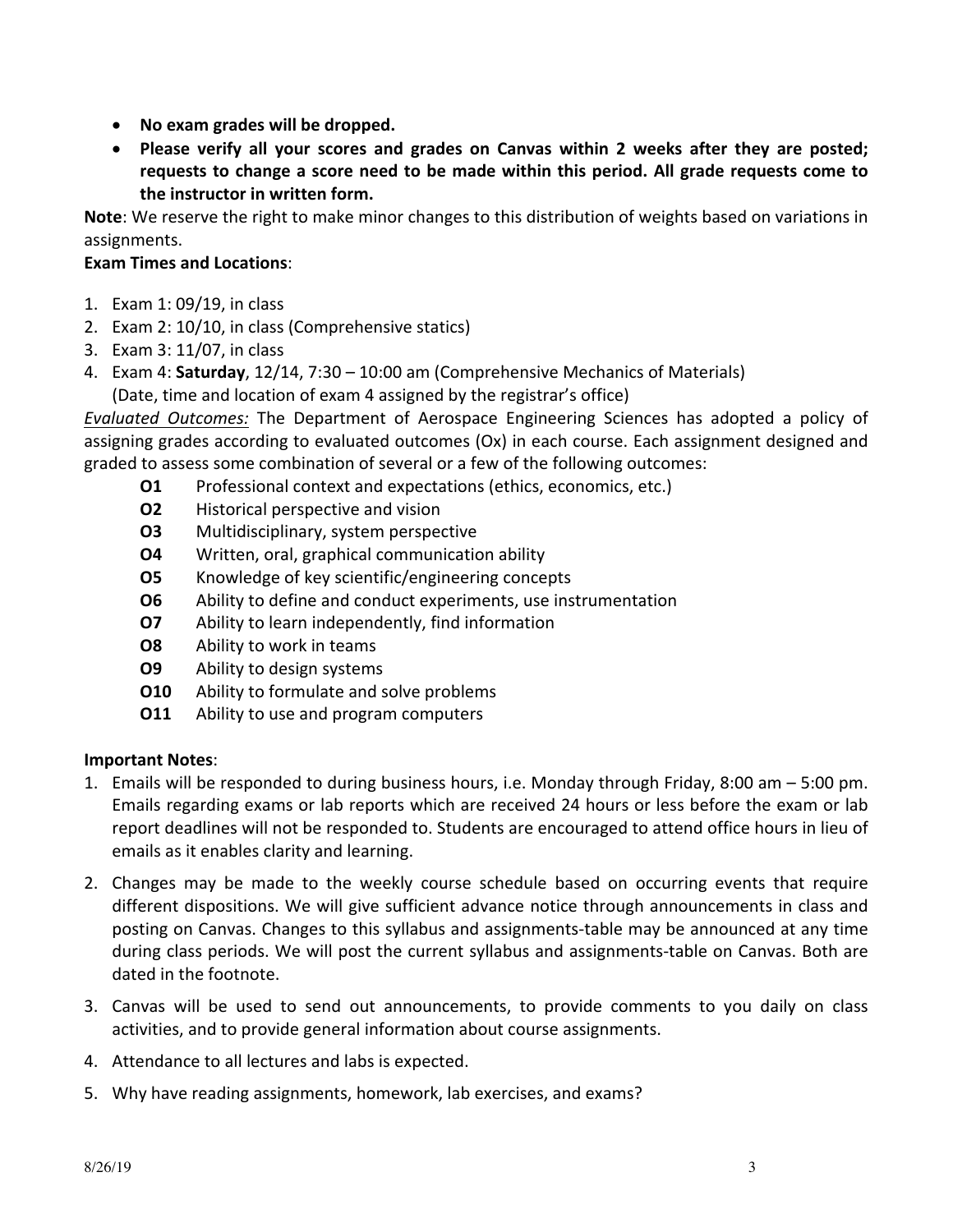- No exam grades will be dropped.
- Please verify all your scores and grades on Canvas within 2 weeks after they are posted; requests to change a score need to be made within this period. All grade requests come to **the instructor in written form.**

**Note**: We reserve the right to make minor changes to this distribution of weights based on variations in assignments. 

# **Exam Times and Locations**:

- 1. Exam 1: 09/19, in class
- 2. Exam 2: 10/10, in class (Comprehensive statics)
- 3. Exam 3: 11/07, in class
- 4. Exam 4: Saturday, 12/14, 7:30 10:00 am (Comprehensive Mechanics of Materials) (Date, time and location of exam 4 assigned by the registrar's office)

**Evaluated Outcomes:** The Department of Aerospace Engineering Sciences has adopted a policy of assigning grades according to evaluated outcomes (Ox) in each course. Each assignment designed and graded to assess some combination of several or a few of the following outcomes:

- **O1** Professional context and expectations (ethics, economics, etc.)
- **O2** Historical perspective and vision
- **O3** Multidisciplinary, system perspective
- **O4** Written, oral, graphical communication ability
- **O5** Knowledge of key scientific/engineering concepts
- **O6** Ability to define and conduct experiments, use instrumentation
- **O7** Ability to learn independently, find information
- **O8** Ability to work in teams
- **O9** Ability to design systems
- **O10** Ability to formulate and solve problems
- **O11** Ability to use and program computers

## **Important Notes**:

- 1. Emails will be responded to during business hours, i.e. Monday through Friday, 8:00 am  $-$  5:00 pm. Emails regarding exams or lab reports which are received 24 hours or less before the exam or lab report deadlines will not be responded to. Students are encouraged to attend office hours in lieu of emails as it enables clarity and learning.
- 2. Changes may be made to the weekly course schedule based on occurring events that require different dispositions. We will give sufficient advance notice through announcements in class and posting on Canvas. Changes to this syllabus and assignments-table may be announced at any time during class periods. We will post the current syllabus and assignments-table on Canvas. Both are dated in the footnote.
- 3. Canvas will be used to send out announcements, to provide comments to you daily on class activities, and to provide general information about course assignments.
- 4. Attendance to all lectures and labs is expected.
- 5. Why have reading assignments, homework, lab exercises, and exams?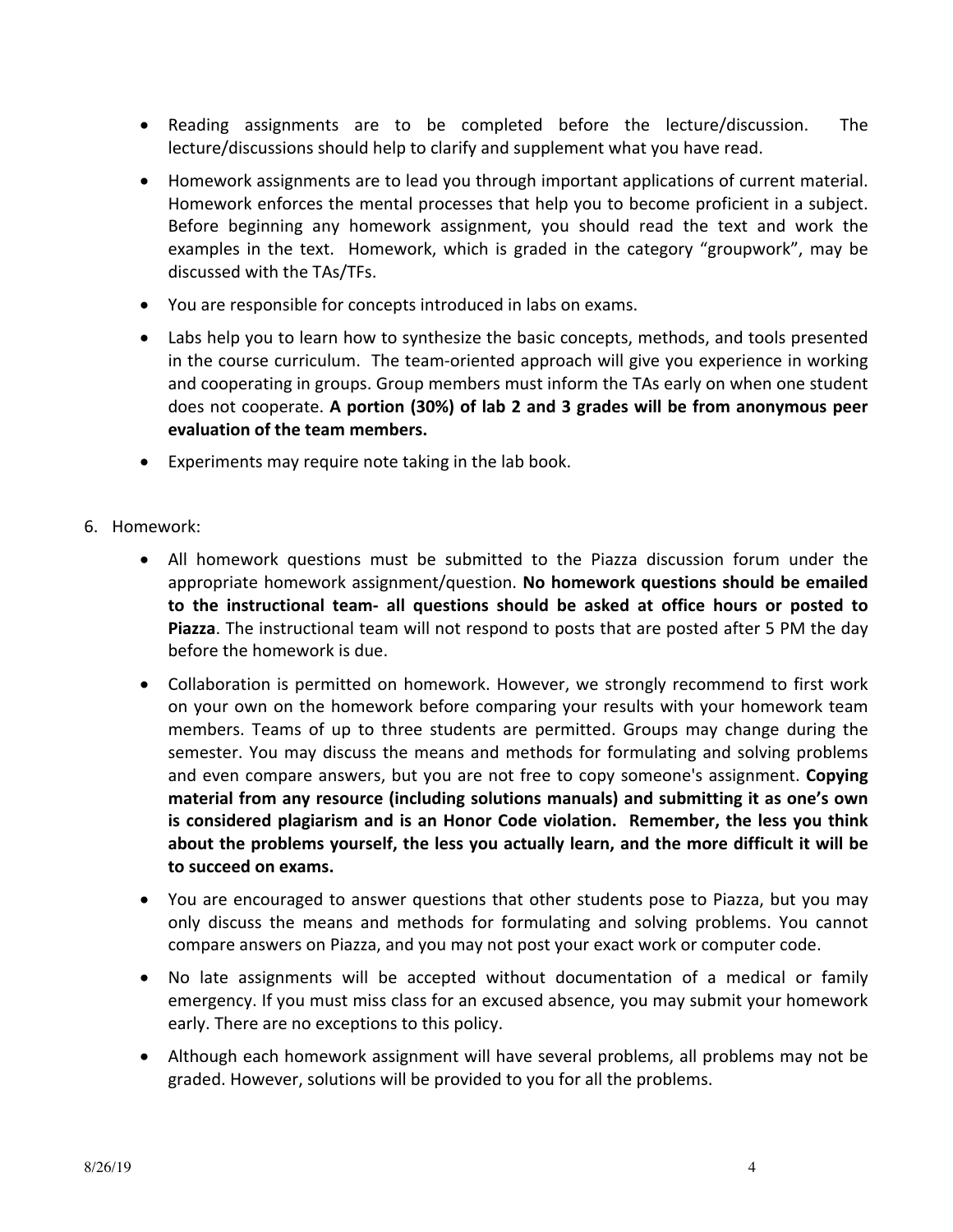- Reading assignments are to be completed before the lecture/discussion. The lecture/discussions should help to clarify and supplement what you have read.
- Homework assignments are to lead you through important applications of current material. Homework enforces the mental processes that help you to become proficient in a subject. Before beginning any homework assignment, you should read the text and work the examples in the text. Homework, which is graded in the category "groupwork", may be discussed with the TAs/TFs.
- You are responsible for concepts introduced in labs on exams.
- Labs help you to learn how to synthesize the basic concepts, methods, and tools presented in the course curriculum. The team-oriented approach will give you experience in working and cooperating in groups. Group members must inform the TAs early on when one student does not cooperate. A portion (30%) of lab 2 and 3 grades will be from anonymous peer **evaluation of the team members.**
- Experiments may require note taking in the lab book.
- 6. Homework:
	- All homework questions must be submitted to the Piazza discussion forum under the appropriate homework assignment/question. No homework questions should be emailed to the instructional team- all questions should be asked at office hours or posted to **Piazza**. The instructional team will not respond to posts that are posted after 5 PM the day before the homework is due.
	- Collaboration is permitted on homework. However, we strongly recommend to first work on your own on the homework before comparing your results with your homework team members. Teams of up to three students are permitted. Groups may change during the semester. You may discuss the means and methods for formulating and solving problems and even compare answers, but you are not free to copy someone's assignment. **Copying** material from any resource (including solutions manuals) and submitting it as one's own is considered plagiarism and is an Honor Code violation. Remember, the less you think about the problems yourself, the less you actually learn, and the more difficult it will be **to succeed on exams.**
	- You are encouraged to answer questions that other students pose to Piazza, but you may only discuss the means and methods for formulating and solving problems. You cannot compare answers on Piazza, and you may not post your exact work or computer code.
	- No late assignments will be accepted without documentation of a medical or family emergency. If you must miss class for an excused absence, you may submit your homework early. There are no exceptions to this policy.
	- Although each homework assignment will have several problems, all problems may not be graded. However, solutions will be provided to you for all the problems.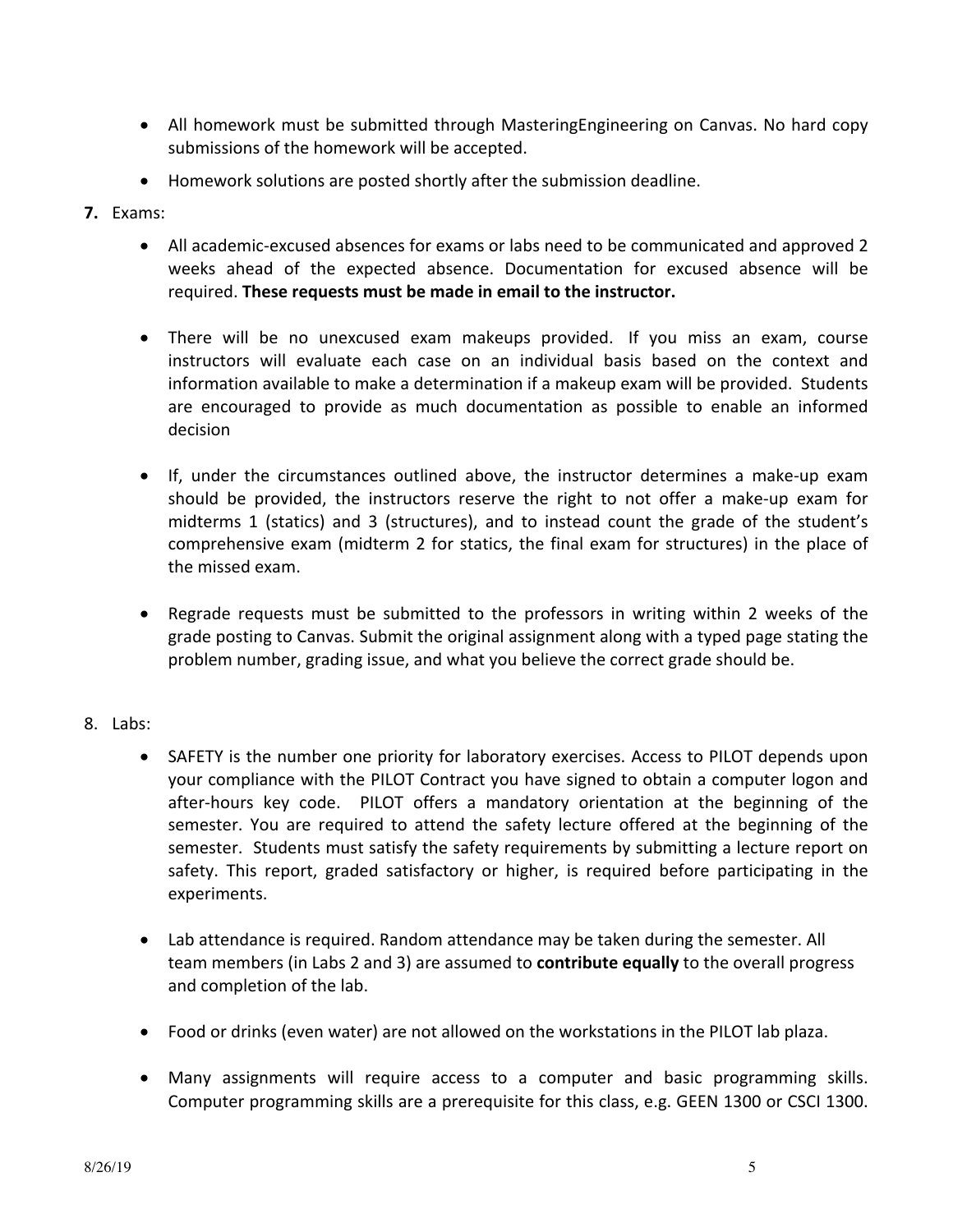- All homework must be submitted through MasteringEngineering on Canvas. No hard copy submissions of the homework will be accepted.
- Homework solutions are posted shortly after the submission deadline.
- **7.** Exams:
	- All academic-excused absences for exams or labs need to be communicated and approved 2 weeks ahead of the expected absence. Documentation for excused absence will be required. These requests must be made in email to the instructor.
	- There will be no unexcused exam makeups provided. If you miss an exam, course instructors will evaluate each case on an individual basis based on the context and information available to make a determination if a makeup exam will be provided. Students are encouraged to provide as much documentation as possible to enable an informed decision
	- If, under the circumstances outlined above, the instructor determines a make-up exam should be provided, the instructors reserve the right to not offer a make-up exam for midterms 1 (statics) and 3 (structures), and to instead count the grade of the student's comprehensive exam (midterm 2 for statics, the final exam for structures) in the place of the missed exam.
	- Regrade requests must be submitted to the professors in writing within 2 weeks of the grade posting to Canvas. Submit the original assignment along with a typed page stating the problem number, grading issue, and what you believe the correct grade should be.

## 8. Labs:

- SAFETY is the number one priority for laboratory exercises. Access to PILOT depends upon your compliance with the PILOT Contract you have signed to obtain a computer logon and after-hours key code. PILOT offers a mandatory orientation at the beginning of the semester. You are required to attend the safety lecture offered at the beginning of the semester. Students must satisfy the safety requirements by submitting a lecture report on safety. This report, graded satisfactory or higher, is required before participating in the experiments.
- Lab attendance is required. Random attendance may be taken during the semester. All team members (in Labs 2 and 3) are assumed to **contribute equally** to the overall progress and completion of the lab.
- Food or drinks (even water) are not allowed on the workstations in the PILOT lab plaza.
- Many assignments will require access to a computer and basic programming skills. Computer programming skills are a prerequisite for this class, e.g. GEEN 1300 or CSCI 1300.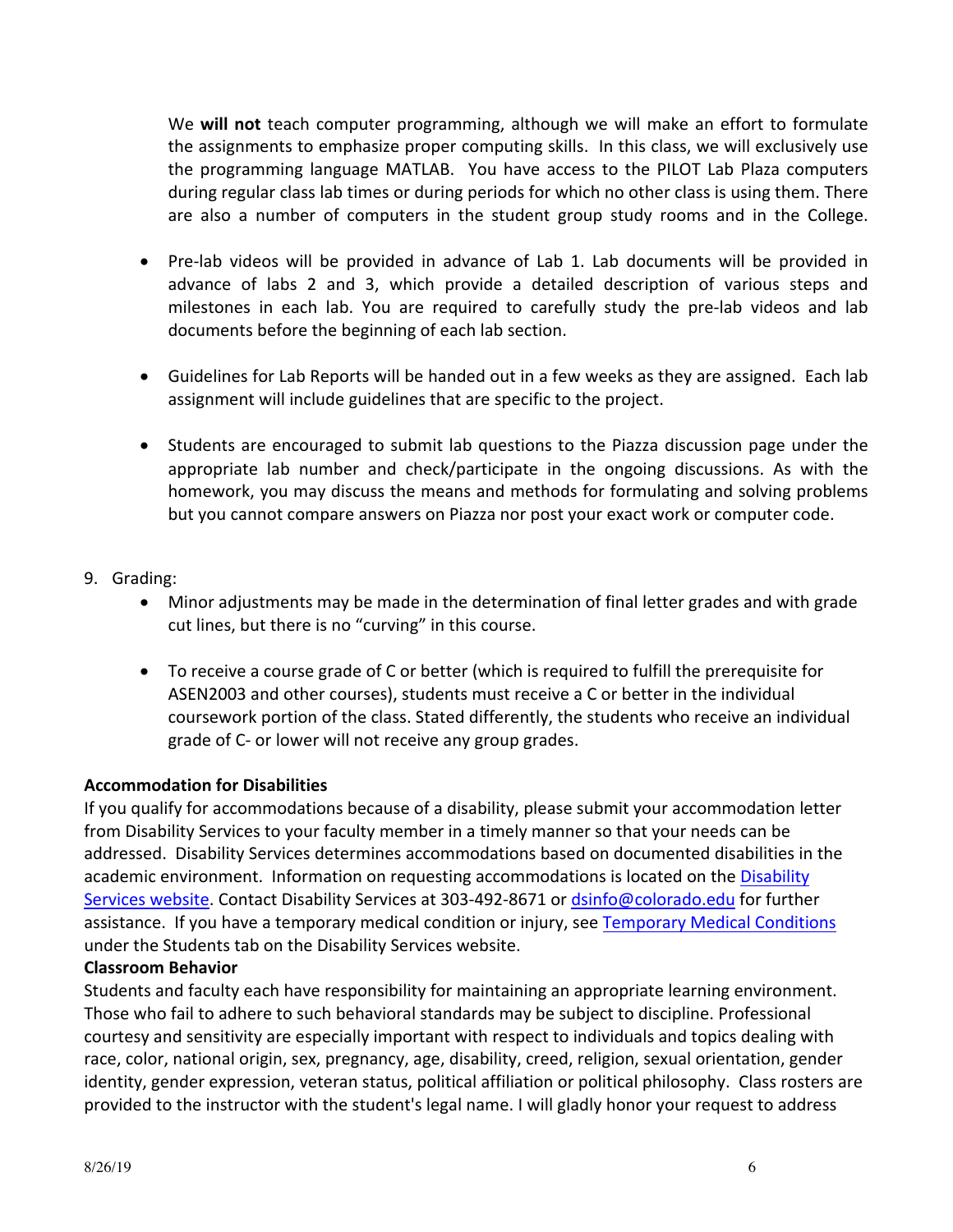We **will not** teach computer programming, although we will make an effort to formulate the assignments to emphasize proper computing skills. In this class, we will exclusively use the programming language MATLAB. You have access to the PILOT Lab Plaza computers during regular class lab times or during periods for which no other class is using them. There are also a number of computers in the student group study rooms and in the College.

- Pre-lab videos will be provided in advance of Lab 1. Lab documents will be provided in advance of labs 2 and 3, which provide a detailed description of various steps and milestones in each lab. You are required to carefully study the pre-lab videos and lab documents before the beginning of each lab section.
- Guidelines for Lab Reports will be handed out in a few weeks as they are assigned. Each lab assignment will include guidelines that are specific to the project.
- Students are encouraged to submit lab questions to the Piazza discussion page under the appropriate lab number and check/participate in the ongoing discussions. As with the homework, you may discuss the means and methods for formulating and solving problems but you cannot compare answers on Piazza nor post your exact work or computer code.
- 9. Grading:
	- Minor adjustments may be made in the determination of final letter grades and with grade cut lines, but there is no "curving" in this course.
	- To receive a course grade of C or better (which is required to fulfill the prerequisite for ASEN2003 and other courses), students must receive a C or better in the individual coursework portion of the class. Stated differently, the students who receive an individual grade of C- or lower will not receive any group grades.

## **Accommodation for Disabilities**

If you qualify for accommodations because of a disability, please submit your accommodation letter from Disability Services to your faculty member in a timely manner so that your needs can be addressed. Disability Services determines accommodations based on documented disabilities in the academic environment. Information on requesting accommodations is located on the Disability Services website. Contact Disability Services at 303-492-8671 or dsinfo@colorado.edu for further assistance. If you have a temporary medical condition or injury, see Temporary Medical Conditions under the Students tab on the Disability Services website.

### **Classroom Behavior**

Students and faculty each have responsibility for maintaining an appropriate learning environment. Those who fail to adhere to such behavioral standards may be subject to discipline. Professional courtesy and sensitivity are especially important with respect to individuals and topics dealing with race, color, national origin, sex, pregnancy, age, disability, creed, religion, sexual orientation, gender identity, gender expression, veteran status, political affiliation or political philosophy. Class rosters are provided to the instructor with the student's legal name. I will gladly honor your request to address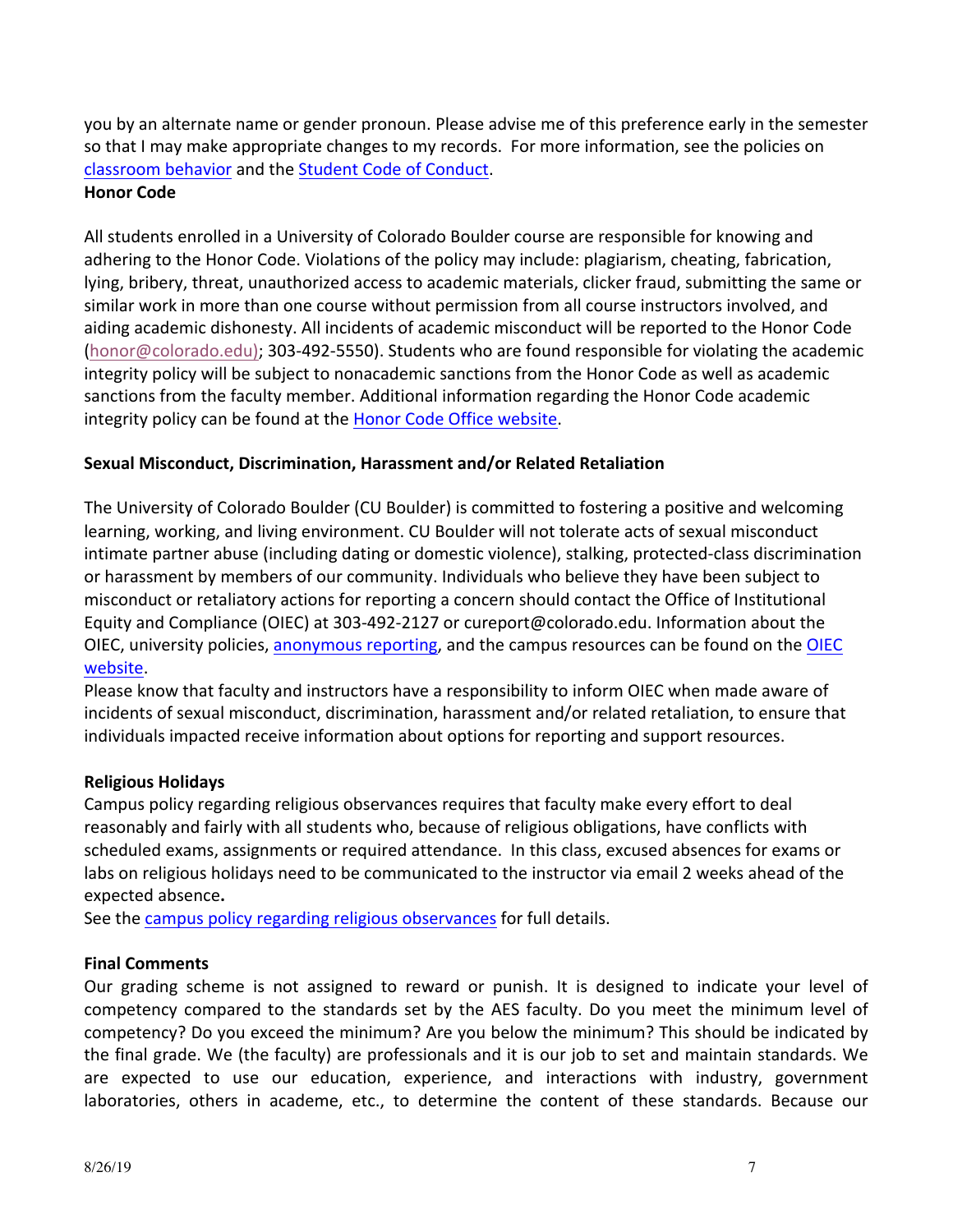you by an alternate name or gender pronoun. Please advise me of this preference early in the semester so that I may make appropriate changes to my records. For more information, see the policies on classroom behavior and the Student Code of Conduct.

### **Honor Code**

All students enrolled in a University of Colorado Boulder course are responsible for knowing and adhering to the Honor Code. Violations of the policy may include: plagiarism, cheating, fabrication, lying, bribery, threat, unauthorized access to academic materials, clicker fraud, submitting the same or similar work in more than one course without permission from all course instructors involved, and aiding academic dishonesty. All incidents of academic misconduct will be reported to the Honor Code (honor@colorado.edu); 303-492-5550). Students who are found responsible for violating the academic integrity policy will be subject to nonacademic sanctions from the Honor Code as well as academic sanctions from the faculty member. Additional information regarding the Honor Code academic integrity policy can be found at the Honor Code Office website.

### **Sexual Misconduct, Discrimination, Harassment and/or Related Retaliation**

The University of Colorado Boulder (CU Boulder) is committed to fostering a positive and welcoming learning, working, and living environment. CU Boulder will not tolerate acts of sexual misconduct intimate partner abuse (including dating or domestic violence), stalking, protected-class discrimination or harassment by members of our community. Individuals who believe they have been subject to misconduct or retaliatory actions for reporting a concern should contact the Office of Institutional Equity and Compliance (OIEC) at 303-492-2127 or cureport@colorado.edu. Information about the OIEC, university policies, anonymous reporting, and the campus resources can be found on the OIEC website.

Please know that faculty and instructors have a responsibility to inform OIEC when made aware of incidents of sexual misconduct, discrimination, harassment and/or related retaliation, to ensure that individuals impacted receive information about options for reporting and support resources.

### **Religious Holidays**

Campus policy regarding religious observances requires that faculty make every effort to deal reasonably and fairly with all students who, because of religious obligations, have conflicts with scheduled exams, assignments or required attendance. In this class, excused absences for exams or labs on religious holidays need to be communicated to the instructor via email 2 weeks ahead of the expected absence**.**

See the campus policy regarding religious observances for full details.

### **Final Comments**

Our grading scheme is not assigned to reward or punish. It is designed to indicate your level of competency compared to the standards set by the AES faculty. Do you meet the minimum level of competency? Do you exceed the minimum? Are you below the minimum? This should be indicated by the final grade. We (the faculty) are professionals and it is our job to set and maintain standards. We are expected to use our education, experience, and interactions with industry, government laboratories, others in academe, etc., to determine the content of these standards. Because our